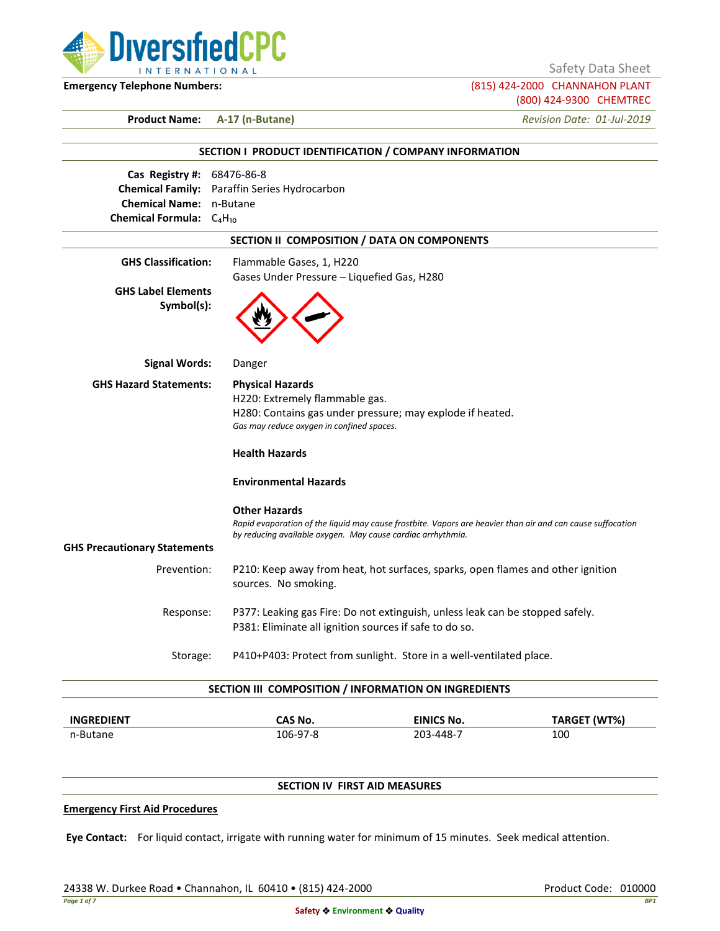

Safety Data Sheet

**Emergency Telephone Numbers:** (815) 424-2000 CHANNAHON PLANT (800) 424-9300 CHEMTREC

**Product Name: A-17 (n-Butane)** *Revision Date: 01-Jul-2019*

|                                                                                                      | SECTION I PRODUCT IDENTIFICATION / COMPANY INFORMATION                                                                                                                                                                       |  |
|------------------------------------------------------------------------------------------------------|------------------------------------------------------------------------------------------------------------------------------------------------------------------------------------------------------------------------------|--|
| Cas Registry #: 68476-86-8<br><b>Chemical Name: n-Butane</b><br><b>Chemical Formula:</b> $C_4H_{10}$ | Chemical Family: Paraffin Series Hydrocarbon                                                                                                                                                                                 |  |
|                                                                                                      | SECTION II COMPOSITION / DATA ON COMPONENTS                                                                                                                                                                                  |  |
| <b>GHS Classification:</b><br><b>GHS Label Elements</b><br>Symbol(s):                                | Flammable Gases, 1, H220<br>Gases Under Pressure - Liquefied Gas, H280                                                                                                                                                       |  |
| <b>Signal Words:</b>                                                                                 | Danger                                                                                                                                                                                                                       |  |
| <b>GHS Hazard Statements:</b>                                                                        | <b>Physical Hazards</b><br>H220: Extremely flammable gas.<br>H280: Contains gas under pressure; may explode if heated.<br>Gas may reduce oxygen in confined spaces.<br><b>Health Hazards</b><br><b>Environmental Hazards</b> |  |
|                                                                                                      | <b>Other Hazards</b><br>Rapid evaporation of the liquid may cause frostbite. Vapors are heavier than air and can cause suffocation<br>by reducing available oxygen. May cause cardiac arrhythmia.                            |  |
| <b>GHS Precautionary Statements</b><br>Prevention:                                                   | P210: Keep away from heat, hot surfaces, sparks, open flames and other ignition<br>sources. No smoking.                                                                                                                      |  |
| Response:                                                                                            | P377: Leaking gas Fire: Do not extinguish, unless leak can be stopped safely.<br>P381: Eliminate all ignition sources if safe to do so.                                                                                      |  |
| Storage:                                                                                             | P410+P403: Protect from sunlight. Store in a well-ventilated place.                                                                                                                                                          |  |
|                                                                                                      | SECTION III COMPOSITION / INFORMATION ON INGREDIENTS                                                                                                                                                                         |  |
|                                                                                                      |                                                                                                                                                                                                                              |  |

| <b>INGREDIENT</b> | CAS No.  | <b>EINICS No.</b> | TARGET (WT%) |
|-------------------|----------|-------------------|--------------|
| n-Butane          | 106-97-8 | 203-448-7         | 100          |

# **SECTION IV FIRST AID MEASURES**

### **Emergency First Aid Procedures**

**Eye Contact:** For liquid contact, irrigate with running water for minimum of 15 minutes. Seek medical attention.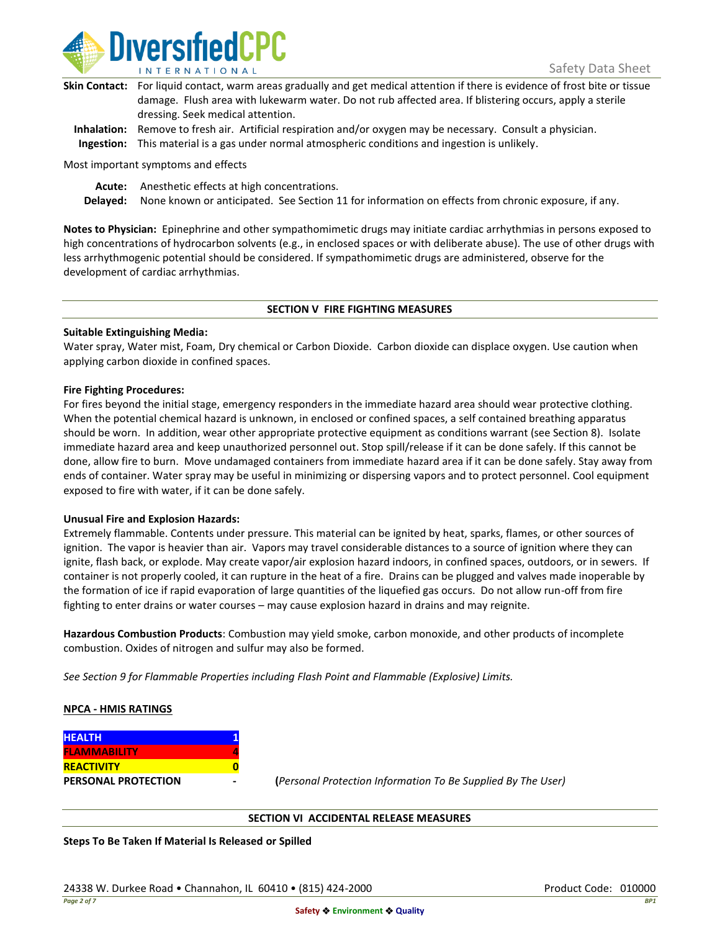

| Skin Contact: For liquid contact, warm areas gradually and get medical attention if there is evidence of frost bite or tissue |
|-------------------------------------------------------------------------------------------------------------------------------|
| damage. Flush area with lukewarm water. Do not rub affected area. If blistering occurs, apply a sterile                       |
| dressing. Seek medical attention.                                                                                             |
|                                                                                                                               |

**Inhalation:** Remove to fresh air. Artificial respiration and/or oxygen may be necessary. Consult a physician. **Ingestion:** This material is a gas under normal atmospheric conditions and ingestion is unlikely.

Most important symptoms and effects

**Acute:** Anesthetic effects at high concentrations.

**Delayed:** None known or anticipated. See Section 11 for information on effects from chronic exposure, if any.

**Notes to Physician:** Epinephrine and other sympathomimetic drugs may initiate cardiac arrhythmias in persons exposed to high concentrations of hydrocarbon solvents (e.g., in enclosed spaces or with deliberate abuse). The use of other drugs with less arrhythmogenic potential should be considered. If sympathomimetic drugs are administered, observe for the development of cardiac arrhythmias.

## **SECTION V FIRE FIGHTING MEASURES**

## **Suitable Extinguishing Media:**

Water spray, Water mist, Foam, Dry chemical or Carbon Dioxide. Carbon dioxide can displace oxygen. Use caution when applying carbon dioxide in confined spaces.

## **Fire Fighting Procedures:**

For fires beyond the initial stage, emergency responders in the immediate hazard area should wear protective clothing. When the potential chemical hazard is unknown, in enclosed or confined spaces, a self contained breathing apparatus should be worn. In addition, wear other appropriate protective equipment as conditions warrant (see Section 8). Isolate immediate hazard area and keep unauthorized personnel out. Stop spill/release if it can be done safely. If this cannot be done, allow fire to burn. Move undamaged containers from immediate hazard area if it can be done safely. Stay away from ends of container. Water spray may be useful in minimizing or dispersing vapors and to protect personnel. Cool equipment exposed to fire with water, if it can be done safely.

## **Unusual Fire and Explosion Hazards:**

Extremely flammable. Contents under pressure. This material can be ignited by heat, sparks, flames, or other sources of ignition. The vapor is heavier than air. Vapors may travel considerable distances to a source of ignition where they can ignite, flash back, or explode. May create vapor/air explosion hazard indoors, in confined spaces, outdoors, or in sewers. If container is not properly cooled, it can rupture in the heat of a fire. Drains can be plugged and valves made inoperable by the formation of ice if rapid evaporation of large quantities of the liquefied gas occurs. Do not allow run-off from fire fighting to enter drains or water courses – may cause explosion hazard in drains and may reignite.

**Hazardous Combustion Products**: Combustion may yield smoke, carbon monoxide, and other products of incomplete combustion. Oxides of nitrogen and sulfur may also be formed.

*See Section 9 for Flammable Properties including Flash Point and Flammable (Explosive) Limits.*

## **NPCA - HMIS RATINGS**

| <b>HEALTH</b>              |  |
|----------------------------|--|
| <b>FLAMMABILITY</b>        |  |
| <b>REACTIVITY</b>          |  |
| <b>PERSONAL PROTECTION</b> |  |

**PERSONAL PROTECTION - (***Personal Protection Information To Be Supplied By The User)*

## **SECTION VI ACCIDENTAL RELEASE MEASURES**

**Steps To Be Taken If Material Is Released or Spilled**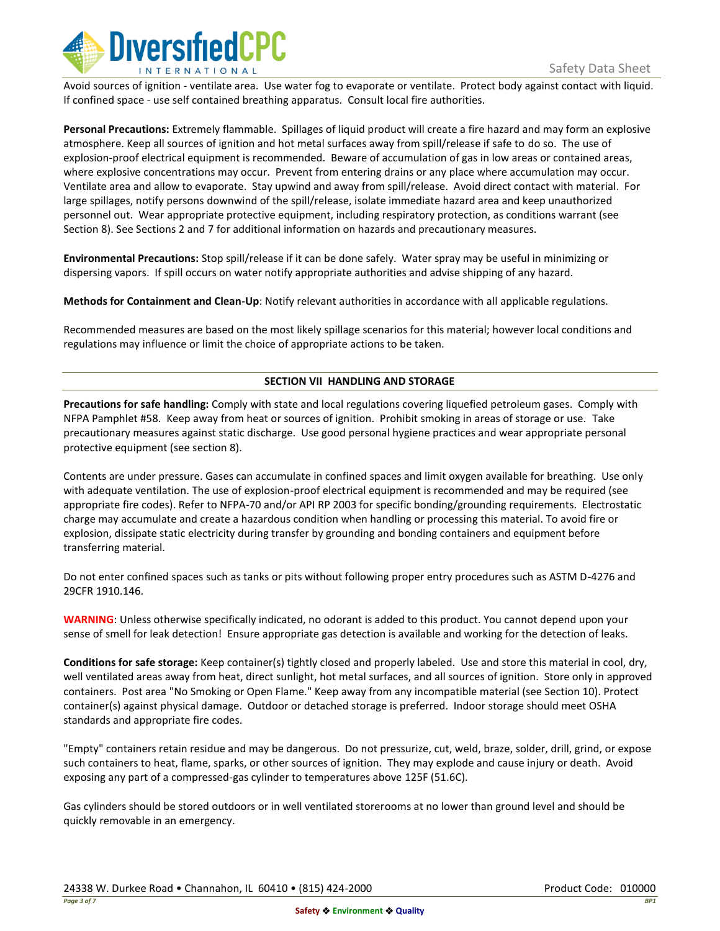

Avoid sources of ignition - ventilate area. Use water fog to evaporate or ventilate. Protect body against contact with liquid. If confined space - use self contained breathing apparatus. Consult local fire authorities.

**Personal Precautions:** Extremely flammable. Spillages of liquid product will create a fire hazard and may form an explosive atmosphere. Keep all sources of ignition and hot metal surfaces away from spill/release if safe to do so. The use of explosion-proof electrical equipment is recommended. Beware of accumulation of gas in low areas or contained areas, where explosive concentrations may occur. Prevent from entering drains or any place where accumulation may occur. Ventilate area and allow to evaporate. Stay upwind and away from spill/release. Avoid direct contact with material. For large spillages, notify persons downwind of the spill/release, isolate immediate hazard area and keep unauthorized personnel out. Wear appropriate protective equipment, including respiratory protection, as conditions warrant (see Section 8). See Sections 2 and 7 for additional information on hazards and precautionary measures.

**Environmental Precautions:** Stop spill/release if it can be done safely. Water spray may be useful in minimizing or dispersing vapors. If spill occurs on water notify appropriate authorities and advise shipping of any hazard.

**Methods for Containment and Clean-Up**: Notify relevant authorities in accordance with all applicable regulations.

Recommended measures are based on the most likely spillage scenarios for this material; however local conditions and regulations may influence or limit the choice of appropriate actions to be taken.

## **SECTION VII HANDLING AND STORAGE**

**Precautions for safe handling:** Comply with state and local regulations covering liquefied petroleum gases. Comply with NFPA Pamphlet #58. Keep away from heat or sources of ignition. Prohibit smoking in areas of storage or use. Take precautionary measures against static discharge. Use good personal hygiene practices and wear appropriate personal protective equipment (see section 8).

Contents are under pressure. Gases can accumulate in confined spaces and limit oxygen available for breathing. Use only with adequate ventilation. The use of explosion-proof electrical equipment is recommended and may be required (see appropriate fire codes). Refer to NFPA-70 and/or API RP 2003 for specific bonding/grounding requirements. Electrostatic charge may accumulate and create a hazardous condition when handling or processing this material. To avoid fire or explosion, dissipate static electricity during transfer by grounding and bonding containers and equipment before transferring material.

Do not enter confined spaces such as tanks or pits without following proper entry procedures such as ASTM D-4276 and 29CFR 1910.146.

**WARNING**: Unless otherwise specifically indicated, no odorant is added to this product. You cannot depend upon your sense of smell for leak detection! Ensure appropriate gas detection is available and working for the detection of leaks.

**Conditions for safe storage:** Keep container(s) tightly closed and properly labeled. Use and store this material in cool, dry, well ventilated areas away from heat, direct sunlight, hot metal surfaces, and all sources of ignition. Store only in approved containers. Post area "No Smoking or Open Flame." Keep away from any incompatible material (see Section 10). Protect container(s) against physical damage. Outdoor or detached storage is preferred. Indoor storage should meet OSHA standards and appropriate fire codes.

"Empty" containers retain residue and may be dangerous. Do not pressurize, cut, weld, braze, solder, drill, grind, or expose such containers to heat, flame, sparks, or other sources of ignition. They may explode and cause injury or death. Avoid exposing any part of a compressed-gas cylinder to temperatures above 125F (51.6C).

Gas cylinders should be stored outdoors or in well ventilated storerooms at no lower than ground level and should be quickly removable in an emergency.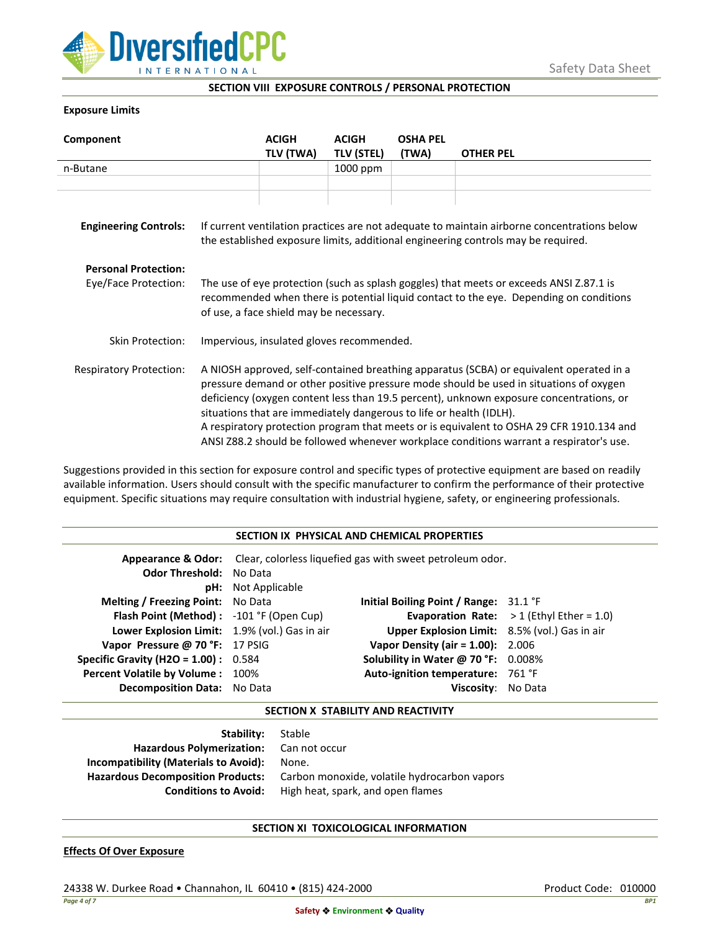

**SECTION VIII EXPOSURE CONTROLS / PERSONAL PROTECTION**

## **Exposure Limits**

| Component                      |                                                                                                                                                                                                                                                                                                                                                                                                                                                                                                                                            | <b>ACIGH</b> | <b>ACIGH</b>      | <b>OSHA PEL</b> |                  |
|--------------------------------|--------------------------------------------------------------------------------------------------------------------------------------------------------------------------------------------------------------------------------------------------------------------------------------------------------------------------------------------------------------------------------------------------------------------------------------------------------------------------------------------------------------------------------------------|--------------|-------------------|-----------------|------------------|
|                                |                                                                                                                                                                                                                                                                                                                                                                                                                                                                                                                                            | TLV (TWA)    | <b>TLV (STEL)</b> | (TWA)           | <b>OTHER PEL</b> |
| n-Butane                       |                                                                                                                                                                                                                                                                                                                                                                                                                                                                                                                                            |              | 1000 ppm          |                 |                  |
|                                |                                                                                                                                                                                                                                                                                                                                                                                                                                                                                                                                            |              |                   |                 |                  |
|                                |                                                                                                                                                                                                                                                                                                                                                                                                                                                                                                                                            |              |                   |                 |                  |
| <b>Engineering Controls:</b>   | If current ventilation practices are not adequate to maintain airborne concentrations below<br>the established exposure limits, additional engineering controls may be required.                                                                                                                                                                                                                                                                                                                                                           |              |                   |                 |                  |
| <b>Personal Protection:</b>    |                                                                                                                                                                                                                                                                                                                                                                                                                                                                                                                                            |              |                   |                 |                  |
| Eye/Face Protection:           | The use of eye protection (such as splash goggles) that meets or exceeds ANSI Z.87.1 is<br>recommended when there is potential liquid contact to the eye. Depending on conditions<br>of use, a face shield may be necessary.                                                                                                                                                                                                                                                                                                               |              |                   |                 |                  |
| Skin Protection:               | Impervious, insulated gloves recommended.                                                                                                                                                                                                                                                                                                                                                                                                                                                                                                  |              |                   |                 |                  |
| <b>Respiratory Protection:</b> | A NIOSH approved, self-contained breathing apparatus (SCBA) or equivalent operated in a<br>pressure demand or other positive pressure mode should be used in situations of oxygen<br>deficiency (oxygen content less than 19.5 percent), unknown exposure concentrations, or<br>situations that are immediately dangerous to life or health (IDLH).<br>A respiratory protection program that meets or is equivalent to OSHA 29 CFR 1910.134 and<br>ANSI Z88.2 should be followed whenever workplace conditions warrant a respirator's use. |              |                   |                 |                  |

Suggestions provided in this section for exposure control and specific types of protective equipment are based on readily available information. Users should consult with the specific manufacturer to confirm the performance of their protective equipment. Specific situations may require consultation with industrial hygiene, safety, or engineering professionals.

| SECTION IX PHYSICAL AND CHEMICAL PROPERTIES   |                                                                                         |                                               |                                                   |  |
|-----------------------------------------------|-----------------------------------------------------------------------------------------|-----------------------------------------------|---------------------------------------------------|--|
|                                               | <b>Appearance &amp; Odor:</b> Clear, colorless liquefied gas with sweet petroleum odor. |                                               |                                                   |  |
| <b>Odor Threshold: No Data</b>                |                                                                                         |                                               |                                                   |  |
|                                               | <b>pH:</b> Not Applicable                                                               |                                               |                                                   |  |
| <b>Melting / Freezing Point:</b> No Data      |                                                                                         | Initial Boiling Point / Range: 31.1 °F        |                                                   |  |
| Flash Point (Method): -101 °F (Open Cup)      |                                                                                         |                                               | <b>Evaporation Rate:</b> $>1$ (Ethyl Ether = 1.0) |  |
| Lower Explosion Limit: 1.9% (vol.) Gas in air |                                                                                         | Upper Explosion Limit: 8.5% (vol.) Gas in air |                                                   |  |
| Vapor Pressure @ 70 °F: 17 PSIG               |                                                                                         | <b>Vapor Density (air = 1.00):</b> 2.006      |                                                   |  |
| <b>Specific Gravity (H2O = 1.00):</b> $0.584$ |                                                                                         | Solubility in Water @ 70 °F: 0.008%           |                                                   |  |
| Percent Volatile by Volume: 100%              |                                                                                         | Auto-ignition temperature: 761 °F             |                                                   |  |
| <b>Decomposition Data:</b> No Data            |                                                                                         | Viscosity: No Data                            |                                                   |  |

## **SECTION X STABILITY AND REACTIVITY**

| <b>Stability:</b> Stable                 |                                              |
|------------------------------------------|----------------------------------------------|
| <b>Hazardous Polymerization:</b>         | Can not occur                                |
| Incompatibility (Materials to Avoid):    | None.                                        |
| <b>Hazardous Decomposition Products:</b> | Carbon monoxide, volatile hydrocarbon vapors |
| <b>Conditions to Avoid:</b>              | High heat, spark, and open flames            |

## **SECTION XI TOXICOLOGICAL INFORMATION**

## **Effects Of Over Exposure**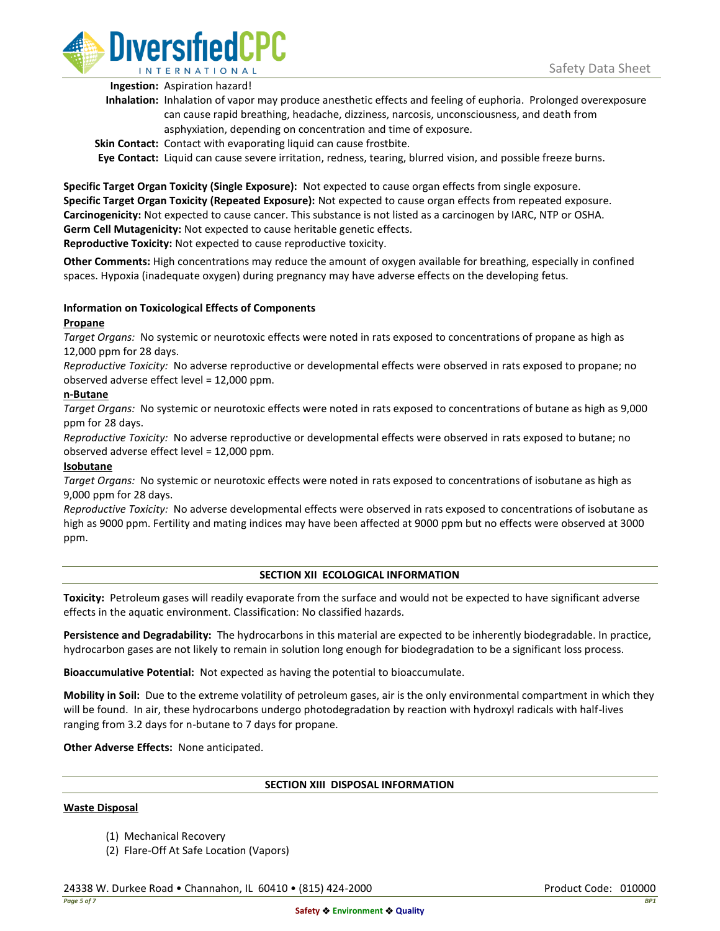

**Ingestion:** Aspiration hazard!

- **Inhalation:** Inhalation of vapor may produce anesthetic effects and feeling of euphoria. Prolonged overexposure can cause rapid breathing, headache, dizziness, narcosis, unconsciousness, and death from asphyxiation, depending on concentration and time of exposure.
- **Skin Contact:** Contact with evaporating liquid can cause frostbite.

**Eye Contact:** Liquid can cause severe irritation, redness, tearing, blurred vision, and possible freeze burns.

**Specific Target Organ Toxicity (Single Exposure):** Not expected to cause organ effects from single exposure. **Specific Target Organ Toxicity (Repeated Exposure):** Not expected to cause organ effects from repeated exposure. **Carcinogenicity:** Not expected to cause cancer. This substance is not listed as a carcinogen by IARC, NTP or OSHA. **Germ Cell Mutagenicity:** Not expected to cause heritable genetic effects. **Reproductive Toxicity:** Not expected to cause reproductive toxicity.

**Other Comments:** High concentrations may reduce the amount of oxygen available for breathing, especially in confined spaces. Hypoxia (inadequate oxygen) during pregnancy may have adverse effects on the developing fetus.

# **Information on Toxicological Effects of Components**

## **Propane**

*Target Organs:* No systemic or neurotoxic effects were noted in rats exposed to concentrations of propane as high as 12,000 ppm for 28 days.

*Reproductive Toxicity:* No adverse reproductive or developmental effects were observed in rats exposed to propane; no observed adverse effect level = 12,000 ppm.

## **n-Butane**

*Target Organs:* No systemic or neurotoxic effects were noted in rats exposed to concentrations of butane as high as 9,000 ppm for 28 days.

*Reproductive Toxicity:* No adverse reproductive or developmental effects were observed in rats exposed to butane; no observed adverse effect level = 12,000 ppm.

## **Isobutane**

*Target Organs:* No systemic or neurotoxic effects were noted in rats exposed to concentrations of isobutane as high as 9,000 ppm for 28 days.

*Reproductive Toxicity:* No adverse developmental effects were observed in rats exposed to concentrations of isobutane as high as 9000 ppm. Fertility and mating indices may have been affected at 9000 ppm but no effects were observed at 3000 ppm.

## **SECTION XII ECOLOGICAL INFORMATION**

**Toxicity:** Petroleum gases will readily evaporate from the surface and would not be expected to have significant adverse effects in the aquatic environment. Classification: No classified hazards.

**Persistence and Degradability:** The hydrocarbons in this material are expected to be inherently biodegradable. In practice, hydrocarbon gases are not likely to remain in solution long enough for biodegradation to be a significant loss process.

**Bioaccumulative Potential:** Not expected as having the potential to bioaccumulate.

**Mobility in Soil:** Due to the extreme volatility of petroleum gases, air is the only environmental compartment in which they will be found. In air, these hydrocarbons undergo photodegradation by reaction with hydroxyl radicals with half-lives ranging from 3.2 days for n-butane to 7 days for propane.

**Other Adverse Effects:** None anticipated.

## **SECTION XIII DISPOSAL INFORMATION**

## **Waste Disposal**

- (1) Mechanical Recovery
- (2) Flare-Off At Safe Location (Vapors)

24338 W. Durkee Road • Channahon, IL 60410 • (815) 424-2000 Product Code: 010000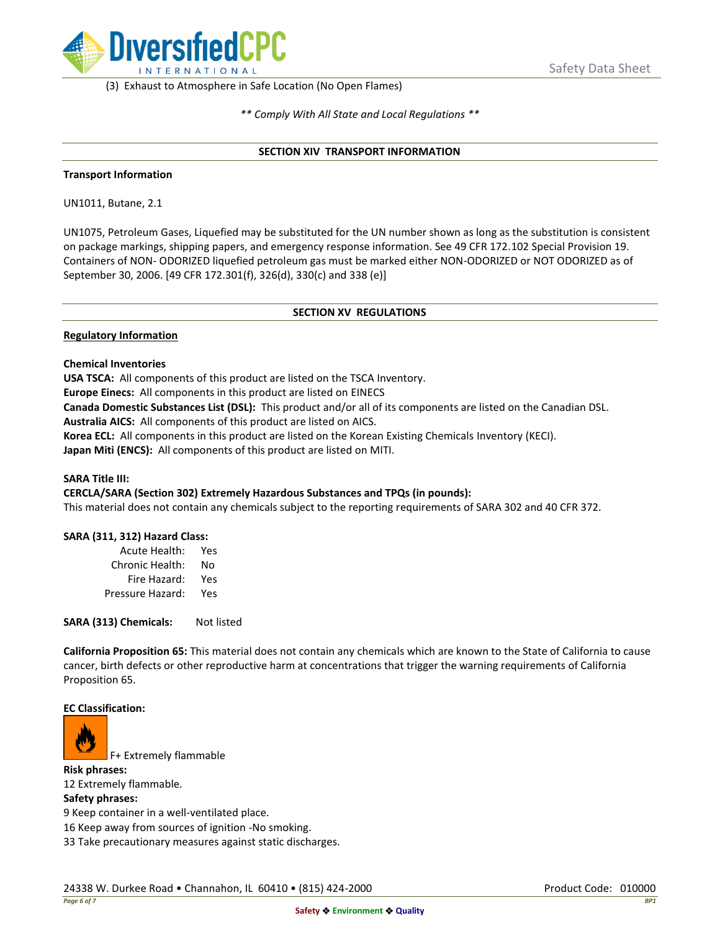

(3) Exhaust to Atmosphere in Safe Location (No Open Flames)

*\*\* Comply With All State and Local Regulations \*\**

### **SECTION XIV TRANSPORT INFORMATION**

### **Transport Information**

UN1011, Butane, 2.1

UN1075, Petroleum Gases, Liquefied may be substituted for the UN number shown as long as the substitution is consistent on package markings, shipping papers, and emergency response information. See 49 CFR 172.102 Special Provision 19. Containers of NON- ODORIZED liquefied petroleum gas must be marked either NON-ODORIZED or NOT ODORIZED as of September 30, 2006. [49 CFR 172.301(f), 326(d), 330(c) and 338 (e)]

## **SECTION XV REGULATIONS**

### **Regulatory Information**

### **Chemical Inventories**

**USA TSCA:** All components of this product are listed on the TSCA Inventory.

**Europe Einecs:** All components in this product are listed on EINECS

**Canada Domestic Substances List (DSL):** This product and/or all of its components are listed on the Canadian DSL.

**Australia AICS:** All components of this product are listed on AICS.

**Korea ECL:** All components in this product are listed on the Korean Existing Chemicals Inventory (KECI). **Japan Miti (ENCS):** All components of this product are listed on MITI.

## **SARA Title III:**

## **CERCLA/SARA (Section 302) Extremely Hazardous Substances and TPQs (in pounds):**

This material does not contain any chemicals subject to the reporting requirements of SARA 302 and 40 CFR 372.

## **SARA (311, 312) Hazard Class:**

| Acute Health:    | Yes |
|------------------|-----|
| Chronic Health:  | No  |
| Fire Hazard:     | Yes |
| Pressure Hazard: | Yes |

**SARA (313) Chemicals:** Not listed

**California Proposition 65:** This material does not contain any chemicals which are known to the State of California to cause cancer, birth defects or other reproductive harm at concentrations that trigger the warning requirements of California Proposition 65.

#### **EC Classification:**



F+ Extremely flammable

**Risk phrases:** 12 Extremely flammable.

#### **Safety phrases:**

9 Keep container in a well-ventilated place.

16 Keep away from sources of ignition -No smoking.

33 Take precautionary measures against static discharges.